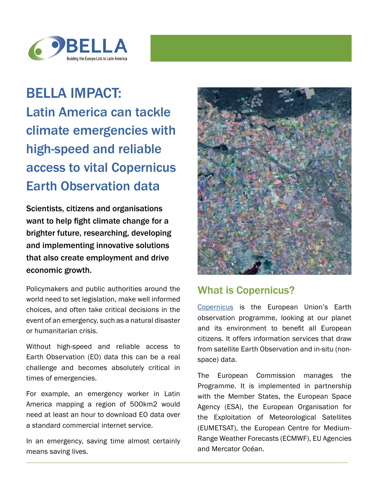

## BELLA IMPACT: Latin America can tackle climate emergencies with high-speed and reliable access to vital Copernicus Earth Observation data

Scientists, citizens and organisations want to help fight climate change for a brighter future, researching, developing and implementing innovative solutions that also create employment and drive economic growth.

Policymakers and public authorities around the world need to set legislation, make well informed choices, and often take critical decisions in the event of an emergency, such as a natural disaster or humanitarian crisis.

Without high-speed and reliable access to Earth Observation (EO) data this can be a real challenge and becomes absolutely critical in times of emergencies.

For example, an emergency worker in Latin America mapping a region of 500km2 would need at least an hour to download EO data over a standard commercial internet service.

In an emergency, saving time almost certainly means saving lives.



## What is Copernicus?

[Copernicus](https://www.copernicus.eu/en) is the European Union's Earth observation programme, looking at our planet and its environment to benefit all European citizens. It offers information services that draw from satellite Earth Observation and in-situ (nonspace) data.

The European Commission manages the Programme. It is implemented in partnership with the Member States, the European Space Agency (ESA), the European Organisation for the Exploitation of Meteorological Satellites (EUMETSAT), the European Centre for Medium-Range Weather Forecasts (ECMWF), EU Agencies and Mercator Océan.